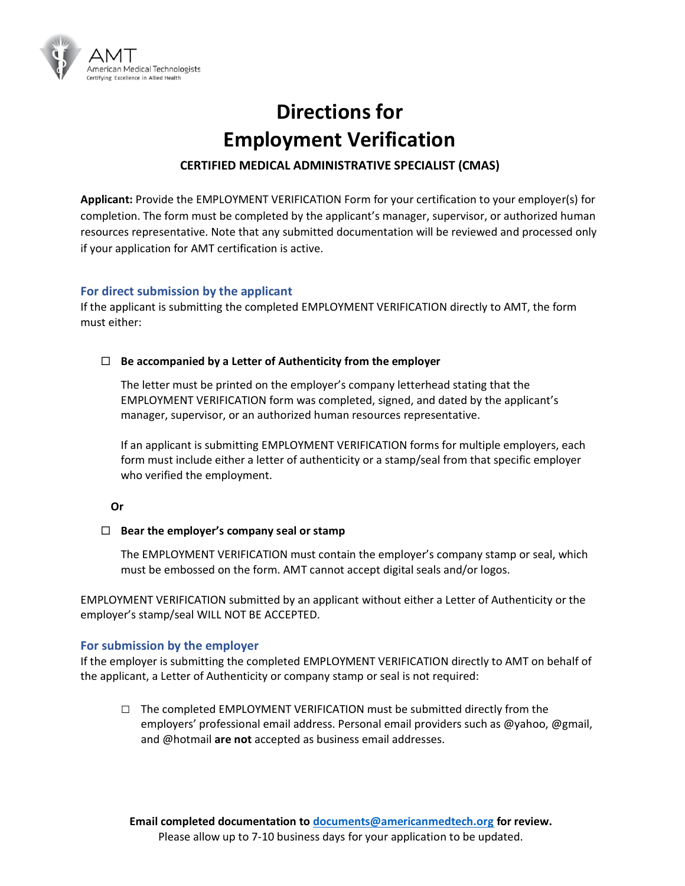

# **Directions for Employment Verification**

## **CERTIFIED MEDICAL ADMINISTRATIVE SPECIALIST (CMAS)**

**Applicant:** Provide the EMPLOYMENT VERIFICATION Form for your certification to your employer(s) for completion. The form must be completed by the applicant's manager, supervisor, or authorized human resources representative. Note that any submitted documentation will be reviewed and processed only if your application for AMT certification is active.

### **For direct submission by the applicant**

If the applicant is submitting the completed EMPLOYMENT VERIFICATION directly to AMT, the form must either:

### **Be accompanied by a Letter of Authenticity from the employer**

The letter must be printed on the employer's company letterhead stating that the EMPLOYMENT VERIFICATION form was completed, signed, and dated by the applicant's manager, supervisor, or an authorized human resources representative.

If an applicant is submitting EMPLOYMENT VERIFICATION forms for multiple employers, each form must include either a letter of authenticity or a stamp/seal from that specific employer who verified the employment.

#### **Or**

#### **Bear the employer's company seal or stamp**

The EMPLOYMENT VERIFICATION must contain the employer's company stamp or seal, which must be embossed on the form. AMT cannot accept digital seals and/or logos.

EMPLOYMENT VERIFICATION submitted by an applicant without either a Letter of Authenticity or the employer's stamp/seal WILL NOT BE ACCEPTED.

#### **For submission by the employer**

If the employer is submitting the completed EMPLOYMENT VERIFICATION directly to AMT on behalf of the applicant, a Letter of Authenticity or company stamp or seal is not required:

**□** The completed EMPLOYMENT VERIFICATION must be submitted directly from the employers' professional email address. Personal email providers such as @yahoo, @gmail, and @hotmail **are not** accepted as business email addresses.